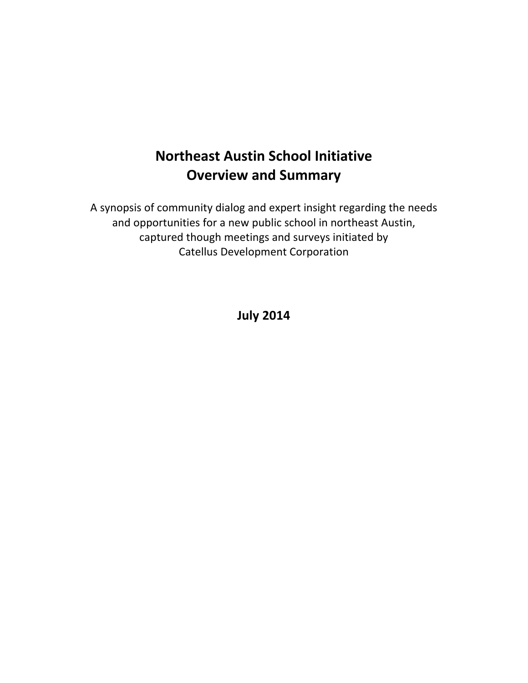# **Northeast Austin School Initiative Overview and Summary**

A synopsis of community dialog and expert insight regarding the needs and opportunities for a new public school in northeast Austin, captured though meetings and surveys initiated by Catellus Development Corporation

**July 2014**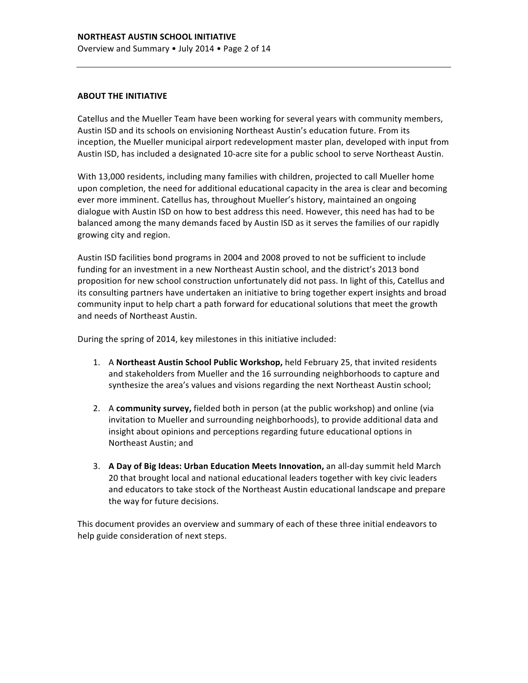#### **ABOUT THE INITIATIVE**

Catellus and the Mueller Team have been working for several years with community members, Austin ISD and its schools on envisioning Northeast Austin's education future. From its inception, the Mueller municipal airport redevelopment master plan, developed with input from Austin ISD, has included a designated 10-acre site for a public school to serve Northeast Austin.

With 13,000 residents, including many families with children, projected to call Mueller home upon completion, the need for additional educational capacity in the area is clear and becoming ever more imminent. Catellus has, throughout Mueller's history, maintained an ongoing dialogue with Austin ISD on how to best address this need. However, this need has had to be balanced among the many demands faced by Austin ISD as it serves the families of our rapidly growing city and region.

Austin ISD facilities bond programs in 2004 and 2008 proved to not be sufficient to include funding for an investment in a new Northeast Austin school, and the district's 2013 bond proposition for new school construction unfortunately did not pass. In light of this, Catellus and its consulting partners have undertaken an initiative to bring together expert insights and broad community input to help chart a path forward for educational solutions that meet the growth and needs of Northeast Austin.

During the spring of 2014, key milestones in this initiative included:

- 1. A **Northeast Austin School Public Workshop,** held February 25, that invited residents and stakeholders from Mueller and the 16 surrounding neighborhoods to capture and synthesize the area's values and visions regarding the next Northeast Austin school;
- 2. A **community survey,** fielded both in person (at the public workshop) and online (via invitation to Mueller and surrounding neighborhoods), to provide additional data and insight about opinions and perceptions regarding future educational options in Northeast Austin; and
- 3. A Day of Big Ideas: Urban Education Meets Innovation, an all-day summit held March 20 that brought local and national educational leaders together with key civic leaders and educators to take stock of the Northeast Austin educational landscape and prepare the way for future decisions.

This document provides an overview and summary of each of these three initial endeavors to help guide consideration of next steps.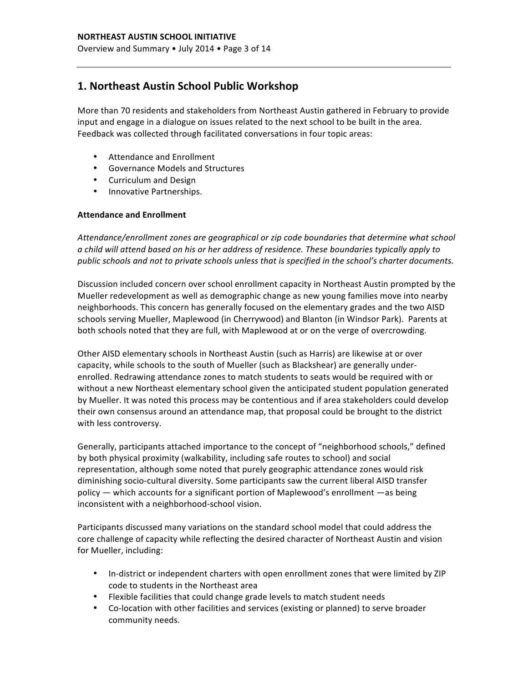## **1. Northeast Austin School Public Workshop**

More than 70 residents and stakeholders from Northeast Austin gathered in February to provide input and engage in a dialogue on issues related to the next school to be built in the area. Feedback was collected through facilitated conversations in four topic areas:

- Attendance and Enrollment
- Governance Models and Structures
- Curriculum and Design
- Innovative Partnerships.

#### **Attendance and Enrollment**

Attendance/enrollment zones are geographical or zip code boundaries that determine what school *a child will attend based on his or her address of residence. These boundaries typically apply to*  public schools and not to private schools unless that is specified in the school's charter documents.

Discussion included concern over school enrollment capacity in Northeast Austin prompted by the Mueller redevelopment as well as demographic change as new young families move into nearby neighborhoods. This concern has generally focused on the elementary grades and the two AISD schools serving Mueller, Maplewood (in Cherrywood) and Blanton (in Windsor Park). Parents at both schools noted that they are full, with Maplewood at or on the verge of overcrowding.

Other AISD elementary schools in Northeast Austin (such as Harris) are likewise at or over capacity, while schools to the south of Mueller (such as Blackshear) are generally underenrolled. Redrawing attendance zones to match students to seats would be required with or without a new Northeast elementary school given the anticipated student population generated by Mueller. It was noted this process may be contentious and if area stakeholders could develop their own consensus around an attendance map, that proposal could be brought to the district with less controversy.

Generally, participants attached importance to the concept of "neighborhood schools," defined by both physical proximity (walkability, including safe routes to school) and social representation, although some noted that purely geographic attendance zones would risk diminishing socio-cultural diversity. Some participants saw the current liberal AISD transfer policy — which accounts for a significant portion of Maplewood's enrollment —as being inconsistent with a neighborhood-school vision.

Participants discussed many variations on the standard school model that could address the core challenge of capacity while reflecting the desired character of Northeast Austin and vision for Mueller, including:

- In-district or independent charters with open enrollment zones that were limited by ZIP code to students in the Northeast area
- Flexible facilities that could change grade levels to match student needs
- Co-location with other facilities and services (existing or planned) to serve broader community needs.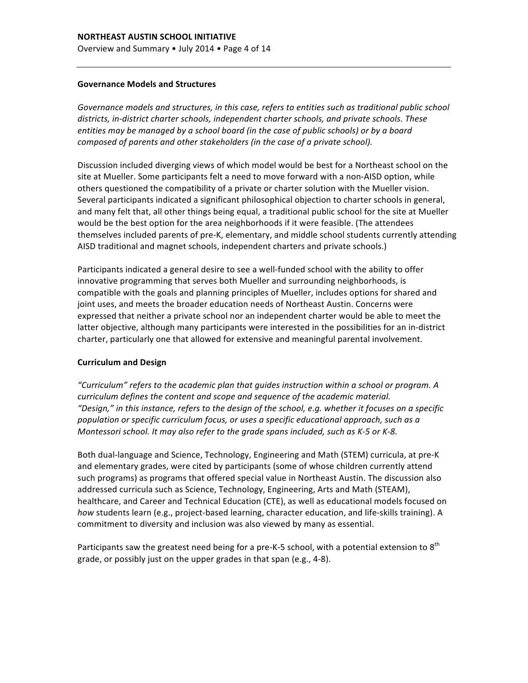#### **Governance Models and Structures**

Governance models and structures, in this case, refers to entities such as traditional public school districts, in-district charter schools, independent charter schools, and private schools. These *entities* may be managed by a school board (in the case of public schools) or by a board composed of parents and other stakeholders (in the case of a private school).

Discussion included diverging views of which model would be best for a Northeast school on the site at Mueller. Some participants felt a need to move forward with a non-AISD option, while others questioned the compatibility of a private or charter solution with the Mueller vision. Several participants indicated a significant philosophical objection to charter schools in general, and many felt that, all other things being equal, a traditional public school for the site at Mueller would be the best option for the area neighborhoods if it were feasible. (The attendees themselves included parents of pre-K, elementary, and middle school students currently attending AISD traditional and magnet schools, independent charters and private schools.)

Participants indicated a general desire to see a well-funded school with the ability to offer innovative programming that serves both Mueller and surrounding neighborhoods, is compatible with the goals and planning principles of Mueller, includes options for shared and joint uses, and meets the broader education needs of Northeast Austin. Concerns were expressed that neither a private school nor an independent charter would be able to meet the latter objective, although many participants were interested in the possibilities for an in-district charter, particularly one that allowed for extensive and meaningful parental involvement.

#### **Curriculum and Design**

*"Curriculum" refers to the academic plan that guides instruction within a school or program. A curriculum* defines the content and scope and sequence of the academic material. "Design," in this instance, refers to the design of the school, e.g. whether it focuses on a specific population or specific curriculum focus, or uses a specific educational approach, such as a *Montessori school. It may also refer to the grade spans included, such as K-5 or K-8.* 

Both dual-language and Science, Technology, Engineering and Math (STEM) curricula, at pre-K and elementary grades, were cited by participants (some of whose children currently attend such programs) as programs that offered special value in Northeast Austin. The discussion also addressed curricula such as Science, Technology, Engineering, Arts and Math (STEAM), healthcare, and Career and Technical Education (CTE), as well as educational models focused on how students learn (e.g., project-based learning, character education, and life-skills training). A commitment to diversity and inclusion was also viewed by many as essential.

Participants saw the greatest need being for a pre-K-5 school, with a potential extension to  $8^{th}$ grade, or possibly just on the upper grades in that span (e.g., 4-8).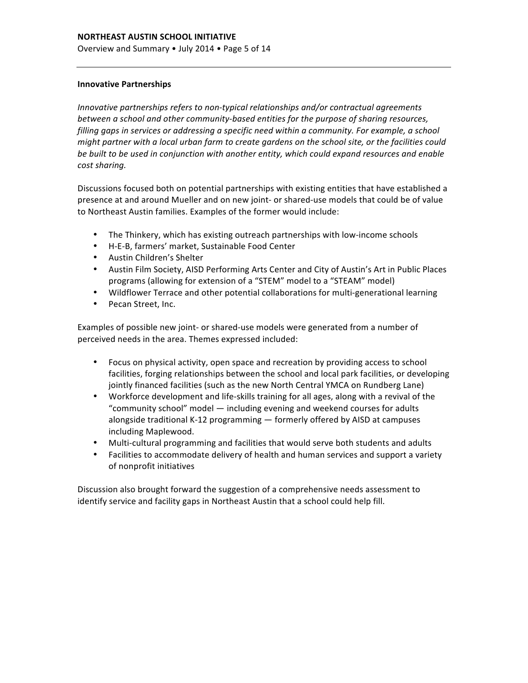#### **Innovative Partnerships**

*Innovative partnerships refers to non-typical relationships and/or contractual agreements* between a school and other community-based entities for the purpose of sharing resources, *filling gaps in services or addressing a specific need within a community. For example, a school might partner with a local urban farm to create gardens on the school site, or the facilities could* be built to be used in conjunction with another entity, which could expand resources and enable *cost sharing.*

Discussions focused both on potential partnerships with existing entities that have established a presence at and around Mueller and on new joint- or shared-use models that could be of value to Northeast Austin families. Examples of the former would include:

- The Thinkery, which has existing outreach partnerships with low-income schools
- H-E-B, farmers' market, Sustainable Food Center
- Austin Children's Shelter
- Austin Film Society, AISD Performing Arts Center and City of Austin's Art in Public Places programs (allowing for extension of a "STEM" model to a "STEAM" model)
- Wildflower Terrace and other potential collaborations for multi-generational learning
- Pecan Street, Inc.

Examples of possible new joint- or shared-use models were generated from a number of perceived needs in the area. Themes expressed included:

- Focus on physical activity, open space and recreation by providing access to school facilities, forging relationships between the school and local park facilities, or developing jointly financed facilities (such as the new North Central YMCA on Rundberg Lane)
- Workforce development and life-skills training for all ages, along with a revival of the "community school" model  $-$  including evening and weekend courses for adults alongside traditional K-12 programming - formerly offered by AISD at campuses including Maplewood.
- Multi-cultural programming and facilities that would serve both students and adults
- Facilities to accommodate delivery of health and human services and support a variety of nonprofit initiatives

Discussion also brought forward the suggestion of a comprehensive needs assessment to identify service and facility gaps in Northeast Austin that a school could help fill.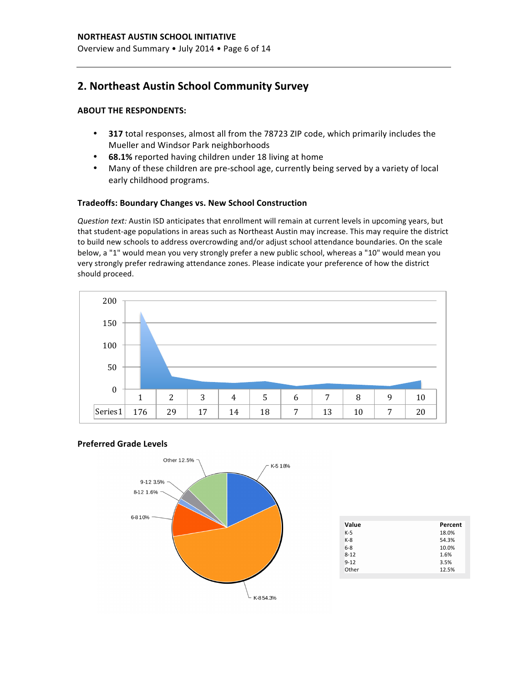## **2. Northeast Austin School Community Survey**

### **ABOUT THE RESPONDENTS:**

- **317** total responses, almost all from the 78723 ZIP code, which primarily includes the Mueller and Windsor Park neighborhoods
- **68.1%** reported having children under 18 living at home
- Many of these children are pre-school age, currently being served by a variety of local early childhood programs.

#### **Tradeoffs: Boundary Changes vs. New School Construction**

*Question text:* Austin ISD anticipates that enrollment will remain at current levels in upcoming years, but that student-age populations in areas such as Northeast Austin may increase. This may require the district to build new schools to address overcrowding and/or adjust school attendance boundaries. On the scale below, a "1" would mean you very strongly prefer a new public school, whereas a "10" would mean you very strongly prefer redrawing attendance zones. Please indicate your preference of how the district should proceed.



#### **Preferred Grade Levels**



| Value    | Percent |
|----------|---------|
| $K-5$    | 18.0%   |
| $K-8$    | 54.3%   |
| $6 - 8$  | 10.0%   |
| $8 - 12$ | 1.6%    |
| $9 - 12$ | 3.5%    |
| Other    | 12.5%   |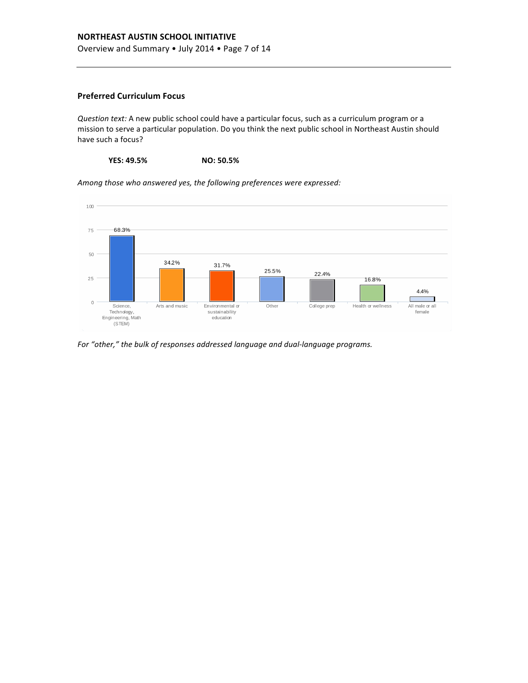### **NORTHEAST AUSTIN SCHOOL INITIATIVE**

Overview and Summary • July 2014 • Page 7 of 14

#### **Preferred Curriculum Focus**

*Question text:* A new public school could have a particular focus, such as a curriculum program or a mission to serve a particular population. Do you think the next public school in Northeast Austin should have such a focus?

**YES: 49.5% NO: 50.5%**

100 75 68.3%

Among those who answered yes, the following preferences were expressed:



For "other," the bulk of responses addressed language and dual-language programs.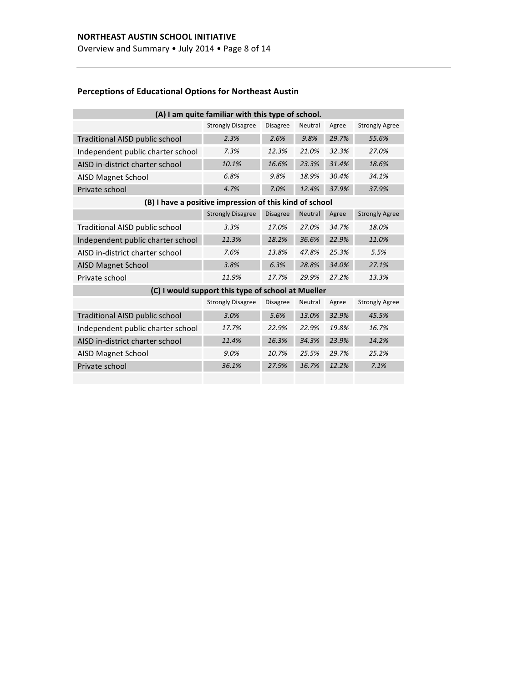Overview and Summary • July 2014 • Page 8 of 14

## **Perceptions of Educational Options for Northeast Austin**

| (A) I am quite familiar with this type of school.       |                          |                 |         |       |                       |  |  |
|---------------------------------------------------------|--------------------------|-----------------|---------|-------|-----------------------|--|--|
|                                                         | <b>Strongly Disagree</b> | <b>Disagree</b> | Neutral | Agree | <b>Strongly Agree</b> |  |  |
| Traditional AISD public school                          | 2.3%                     | 2.6%            | 9.8%    | 29.7% | 55.6%                 |  |  |
| Independent public charter school                       | 7.3%                     | 12.3%           | 21.0%   | 32.3% | 27.0%                 |  |  |
| AISD in-district charter school                         | 10.1%                    | 16.6%           | 23.3%   | 31.4% | 18.6%                 |  |  |
| AISD Magnet School                                      | 6.8%                     | 9.8%            | 18.9%   | 30.4% | 34.1%                 |  |  |
| Private school                                          | 4.7%                     | 7.0%            | 12.4%   | 37.9% | 37.9%                 |  |  |
| (B) I have a positive impression of this kind of school |                          |                 |         |       |                       |  |  |
|                                                         | <b>Strongly Disagree</b> | <b>Disagree</b> | Neutral | Agree | <b>Strongly Agree</b> |  |  |
| Traditional AISD public school                          | 3.3%                     | 17.0%           | 27.0%   | 34.7% | 18.0%                 |  |  |
| Independent public charter school                       | 11.3%                    | 18.2%           | 36.6%   | 22.9% | 11.0%                 |  |  |
| AISD in-district charter school                         | 7.6%                     | 13.8%           | 47.8%   | 25.3% | 5.5%                  |  |  |
| <b>AISD Magnet School</b>                               | 3.8%                     | 6.3%            | 28.8%   | 34.0% | 27.1%                 |  |  |
| Private school                                          | 11.9%                    | 17.7%           | 29.9%   | 27.2% | 13.3%                 |  |  |
| (C) I would support this type of school at Mueller      |                          |                 |         |       |                       |  |  |
|                                                         | <b>Strongly Disagree</b> | <b>Disagree</b> | Neutral | Agree | <b>Strongly Agree</b> |  |  |
| Traditional AISD public school                          | 3.0%                     | 5.6%            | 13.0%   | 32.9% | 45.5%                 |  |  |
| Independent public charter school                       | 17.7%                    | 22.9%           | 22.9%   | 19.8% | 16.7%                 |  |  |
| AISD in-district charter school                         | 11.4%                    | 16.3%           | 34.3%   | 23.9% | 14.2%                 |  |  |
| AISD Magnet School                                      | 9.0%                     | 10.7%           | 25.5%   | 29.7% | 25.2%                 |  |  |
| Private school                                          | 36.1%                    | 27.9%           | 16.7%   | 12.2% | 7.1%                  |  |  |
|                                                         |                          |                 |         |       |                       |  |  |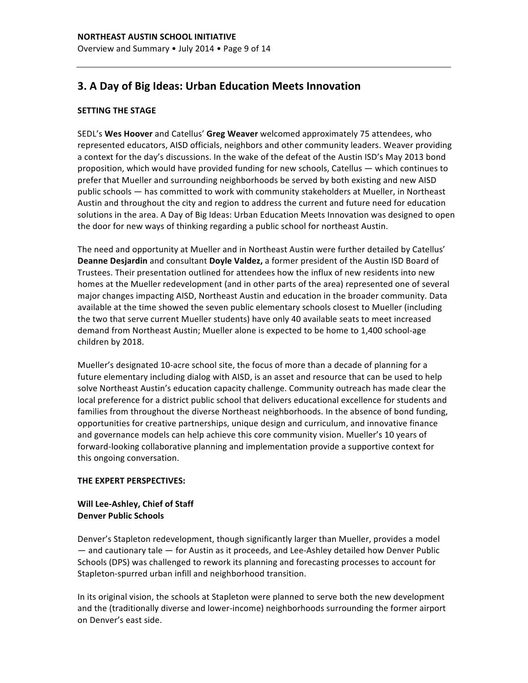## **3. A Day of Big Ideas: Urban Education Meets Innovation**

#### **SETTING THE STAGE**

SEDL's Wes Hoover and Catellus' Greg Weaver welcomed approximately 75 attendees, who represented educators, AISD officials, neighbors and other community leaders. Weaver providing a context for the day's discussions. In the wake of the defeat of the Austin ISD's May 2013 bond proposition, which would have provided funding for new schools, Catellus  $-$  which continues to prefer that Mueller and surrounding neighborhoods be served by both existing and new AISD public schools — has committed to work with community stakeholders at Mueller, in Northeast Austin and throughout the city and region to address the current and future need for education solutions in the area. A Day of Big Ideas: Urban Education Meets Innovation was designed to open the door for new ways of thinking regarding a public school for northeast Austin.

The need and opportunity at Mueller and in Northeast Austin were further detailed by Catellus' **Deanne Desjardin** and consultant **Doyle Valdez,** a former president of the Austin ISD Board of Trustees. Their presentation outlined for attendees how the influx of new residents into new homes at the Mueller redevelopment (and in other parts of the area) represented one of several major changes impacting AISD, Northeast Austin and education in the broader community. Data available at the time showed the seven public elementary schools closest to Mueller (including the two that serve current Mueller students) have only 40 available seats to meet increased demand from Northeast Austin; Mueller alone is expected to be home to 1,400 school-age children by 2018.

Mueller's designated 10-acre school site, the focus of more than a decade of planning for a future elementary including dialog with AISD, is an asset and resource that can be used to help solve Northeast Austin's education capacity challenge. Community outreach has made clear the local preference for a district public school that delivers educational excellence for students and families from throughout the diverse Northeast neighborhoods. In the absence of bond funding, opportunities for creative partnerships, unique design and curriculum, and innovative finance and governance models can help achieve this core community vision. Mueller's 10 years of forward-looking collaborative planning and implementation provide a supportive context for this ongoing conversation.

#### **THE EXPERT PERSPECTIVES:**

#### Will Lee-Ashley, Chief of Staff **Denver Public Schools**

Denver's Stapleton redevelopment, though significantly larger than Mueller, provides a model — and cautionary tale — for Austin as it proceeds, and Lee-Ashley detailed how Denver Public Schools (DPS) was challenged to rework its planning and forecasting processes to account for Stapleton-spurred urban infill and neighborhood transition.

In its original vision, the schools at Stapleton were planned to serve both the new development and the (traditionally diverse and lower-income) neighborhoods surrounding the former airport on Denver's east side.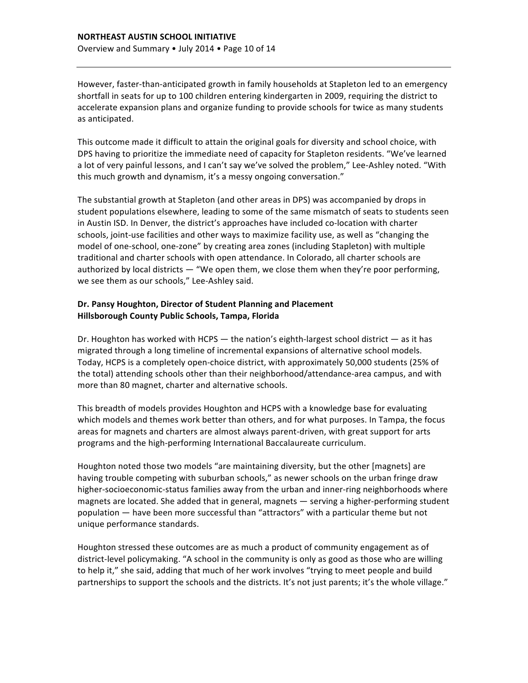However, faster-than-anticipated growth in family households at Stapleton led to an emergency shortfall in seats for up to 100 children entering kindergarten in 2009, requiring the district to accelerate expansion plans and organize funding to provide schools for twice as many students as anticipated.

This outcome made it difficult to attain the original goals for diversity and school choice, with DPS having to prioritize the immediate need of capacity for Stapleton residents. "We've learned a lot of very painful lessons, and I can't say we've solved the problem," Lee-Ashley noted. "With this much growth and dynamism, it's a messy ongoing conversation."

The substantial growth at Stapleton (and other areas in DPS) was accompanied by drops in student populations elsewhere, leading to some of the same mismatch of seats to students seen in Austin ISD. In Denver, the district's approaches have included co-location with charter schools, joint-use facilities and other ways to maximize facility use, as well as "changing the model of one-school, one-zone" by creating area zones (including Stapleton) with multiple traditional and charter schools with open attendance. In Colorado, all charter schools are authorized by local districts  $-$  "We open them, we close them when they're poor performing, we see them as our schools," Lee-Ashley said.

#### Dr. Pansy Houghton, Director of Student Planning and Placement **Hillsborough County Public Schools, Tampa, Florida**

Dr. Houghton has worked with HCPS  $-$  the nation's eighth-largest school district  $-$  as it has migrated through a long timeline of incremental expansions of alternative school models. Today, HCPS is a completely open-choice district, with approximately 50,000 students (25% of the total) attending schools other than their neighborhood/attendance-area campus, and with more than 80 magnet, charter and alternative schools.

This breadth of models provides Houghton and HCPS with a knowledge base for evaluating which models and themes work better than others, and for what purposes. In Tampa, the focus areas for magnets and charters are almost always parent-driven, with great support for arts programs and the high-performing International Baccalaureate curriculum.

Houghton noted those two models "are maintaining diversity, but the other [magnets] are having trouble competing with suburban schools," as newer schools on the urban fringe draw higher-socioeconomic-status families away from the urban and inner-ring neighborhoods where magnets are located. She added that in general, magnets  $-$  serving a higher-performing student population — have been more successful than "attractors" with a particular theme but not unique performance standards.

Houghton stressed these outcomes are as much a product of community engagement as of district-level policymaking. "A school in the community is only as good as those who are willing to help it," she said, adding that much of her work involves "trying to meet people and build partnerships to support the schools and the districts. It's not just parents; it's the whole village."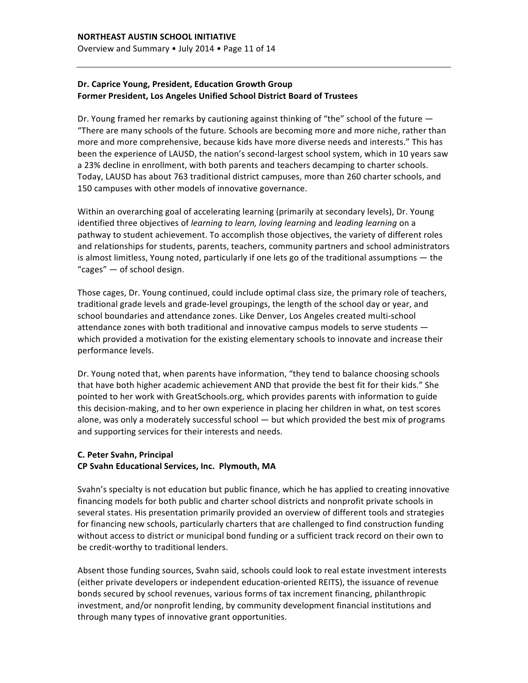### Dr. Caprice Young, President, Education Growth Group **Former President, Los Angeles Unified School District Board of Trustees**

Dr. Young framed her remarks by cautioning against thinking of "the" school of the future  $-$ "There are many schools of the future. Schools are becoming more and more niche, rather than more and more comprehensive, because kids have more diverse needs and interests." This has been the experience of LAUSD, the nation's second-largest school system, which in 10 years saw a 23% decline in enrollment, with both parents and teachers decamping to charter schools. Today, LAUSD has about 763 traditional district campuses, more than 260 charter schools, and 150 campuses with other models of innovative governance.

Within an overarching goal of accelerating learning (primarily at secondary levels), Dr. Young identified three objectives of *learning to learn, loving learning* and *leading learning* on a pathway to student achievement. To accomplish those objectives, the variety of different roles and relationships for students, parents, teachers, community partners and school administrators is almost limitless, Young noted, particularly if one lets go of the traditional assumptions  $-$  the "cages"  $-$  of school design.

Those cages, Dr. Young continued, could include optimal class size, the primary role of teachers, traditional grade levels and grade-level groupings, the length of the school day or year, and school boundaries and attendance zones. Like Denver, Los Angeles created multi-school attendance zones with both traditional and innovative campus models to serve students  $$ which provided a motivation for the existing elementary schools to innovate and increase their performance levels.

Dr. Young noted that, when parents have information, "they tend to balance choosing schools that have both higher academic achievement AND that provide the best fit for their kids." She pointed to her work with GreatSchools.org, which provides parents with information to guide this decision-making, and to her own experience in placing her children in what, on test scores alone, was only a moderately successful school  $-$  but which provided the best mix of programs and supporting services for their interests and needs.

#### **C. Peter Svahn, Principal CP Svahn Educational Services, Inc. Plymouth, MA**

Svahn's specialty is not education but public finance, which he has applied to creating innovative financing models for both public and charter school districts and nonprofit private schools in several states. His presentation primarily provided an overview of different tools and strategies for financing new schools, particularly charters that are challenged to find construction funding without access to district or municipal bond funding or a sufficient track record on their own to be credit-worthy to traditional lenders.

Absent those funding sources, Svahn said, schools could look to real estate investment interests (either private developers or independent education-oriented REITS), the issuance of revenue bonds secured by school revenues, various forms of tax increment financing, philanthropic investment, and/or nonprofit lending, by community development financial institutions and through many types of innovative grant opportunities.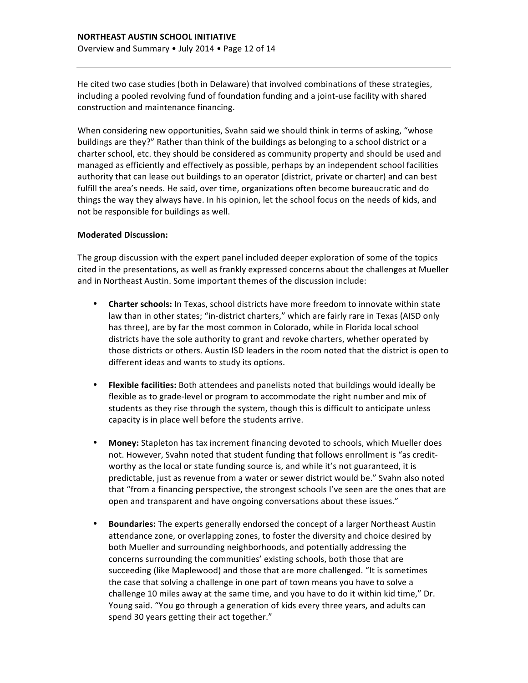He cited two case studies (both in Delaware) that involved combinations of these strategies, including a pooled revolving fund of foundation funding and a joint-use facility with shared construction and maintenance financing.

When considering new opportunities, Svahn said we should think in terms of asking, "whose buildings are they?" Rather than think of the buildings as belonging to a school district or a charter school, etc. they should be considered as community property and should be used and managed as efficiently and effectively as possible, perhaps by an independent school facilities authority that can lease out buildings to an operator (district, private or charter) and can best fulfill the area's needs. He said, over time, organizations often become bureaucratic and do things the way they always have. In his opinion, let the school focus on the needs of kids, and not be responsible for buildings as well.

#### **Moderated Discussion:**

The group discussion with the expert panel included deeper exploration of some of the topics cited in the presentations, as well as frankly expressed concerns about the challenges at Mueller and in Northeast Austin. Some important themes of the discussion include:

- Charter schools: In Texas, school districts have more freedom to innovate within state law than in other states; "in-district charters," which are fairly rare in Texas (AISD only has three), are by far the most common in Colorado, while in Florida local school districts have the sole authority to grant and revoke charters, whether operated by those districts or others. Austin ISD leaders in the room noted that the district is open to different ideas and wants to study its options.
- **Flexible facilities:** Both attendees and panelists noted that buildings would ideally be flexible as to grade-level or program to accommodate the right number and mix of students as they rise through the system, though this is difficult to anticipate unless capacity is in place well before the students arrive.
- **Money:** Stapleton has tax increment financing devoted to schools, which Mueller does not. However, Svahn noted that student funding that follows enrollment is "as creditworthy as the local or state funding source is, and while it's not guaranteed, it is predictable, just as revenue from a water or sewer district would be." Svahn also noted that "from a financing perspective, the strongest schools I've seen are the ones that are open and transparent and have ongoing conversations about these issues."
- **Boundaries:** The experts generally endorsed the concept of a larger Northeast Austin attendance zone, or overlapping zones, to foster the diversity and choice desired by both Mueller and surrounding neighborhoods, and potentially addressing the concerns surrounding the communities' existing schools, both those that are succeeding (like Maplewood) and those that are more challenged. "It is sometimes the case that solving a challenge in one part of town means you have to solve a challenge 10 miles away at the same time, and you have to do it within kid time," Dr. Young said. "You go through a generation of kids every three years, and adults can spend 30 years getting their act together."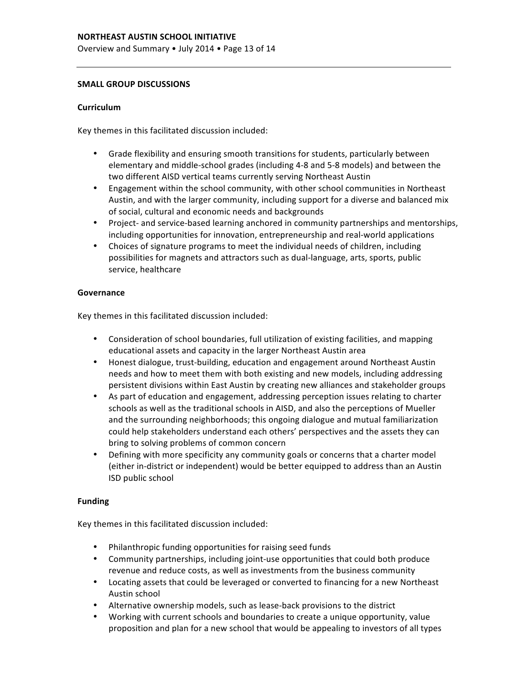#### **SMALL GROUP DISCUSSIONS**

#### **Curriculum**

Key themes in this facilitated discussion included:

- Grade flexibility and ensuring smooth transitions for students, particularly between elementary and middle-school grades (including 4-8 and 5-8 models) and between the two different AISD vertical teams currently serving Northeast Austin
- Engagement within the school community, with other school communities in Northeast Austin, and with the larger community, including support for a diverse and balanced mix of social, cultural and economic needs and backgrounds
- Project- and service-based learning anchored in community partnerships and mentorships, including opportunities for innovation, entrepreneurship and real-world applications
- Choices of signature programs to meet the individual needs of children, including possibilities for magnets and attractors such as dual-language, arts, sports, public service, healthcare

#### **Governance**

Key themes in this facilitated discussion included:

- Consideration of school boundaries, full utilization of existing facilities, and mapping educational assets and capacity in the larger Northeast Austin area
- Honest dialogue, trust-building, education and engagement around Northeast Austin needs and how to meet them with both existing and new models, including addressing persistent divisions within East Austin by creating new alliances and stakeholder groups
- As part of education and engagement, addressing perception issues relating to charter schools as well as the traditional schools in AISD, and also the perceptions of Mueller and the surrounding neighborhoods; this ongoing dialogue and mutual familiarization could help stakeholders understand each others' perspectives and the assets they can bring to solving problems of common concern
- Defining with more specificity any community goals or concerns that a charter model (either in-district or independent) would be better equipped to address than an Austin ISD public school

#### **Funding**

Key themes in this facilitated discussion included:

- Philanthropic funding opportunities for raising seed funds
- Community partnerships, including joint-use opportunities that could both produce revenue and reduce costs, as well as investments from the business community
- Locating assets that could be leveraged or converted to financing for a new Northeast Austin school
- Alternative ownership models, such as lease-back provisions to the district
- Working with current schools and boundaries to create a unique opportunity, value proposition and plan for a new school that would be appealing to investors of all types